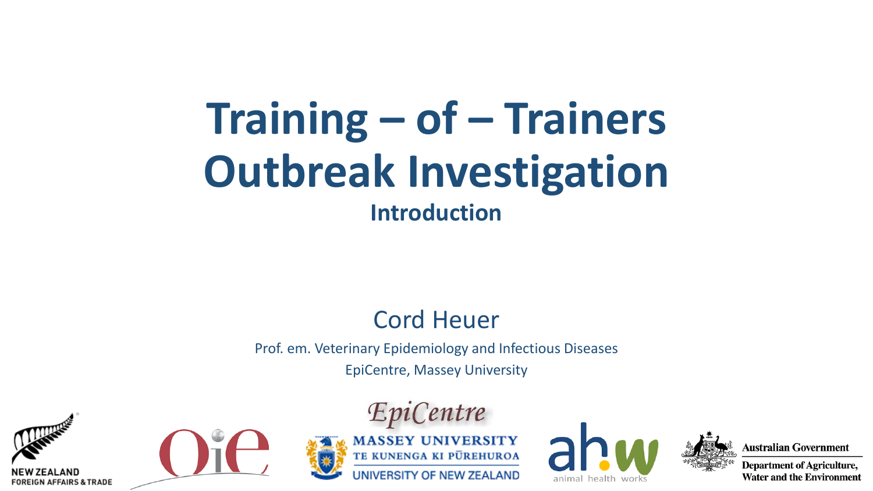# **Training – of – Trainers Outbreak Investigation Introduction**

#### **Cord Heuer**

Prof. em. Veterinary Epidemiology and Infectious Diseases **EpiCentre, Massey University** 











**Australian Government** 

**Department of Agriculture, Water and the Environment**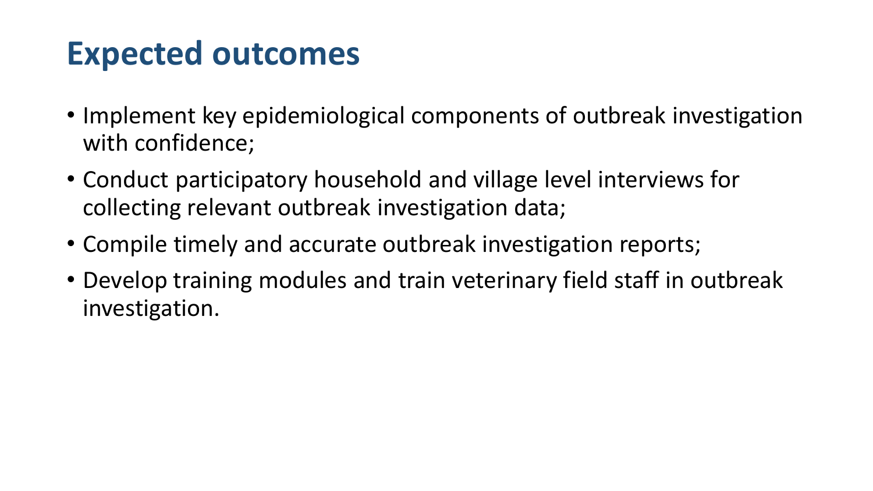#### **Expected outcomes**

- Implement key epidemiological components of outbreak investigation with confidence;
- Conduct participatory household and village level interviews for collecting relevant outbreak investigation data;
- Compile timely and accurate outbreak investigation reports;
- Develop training modules and train veterinary field staff in outbreak investigation.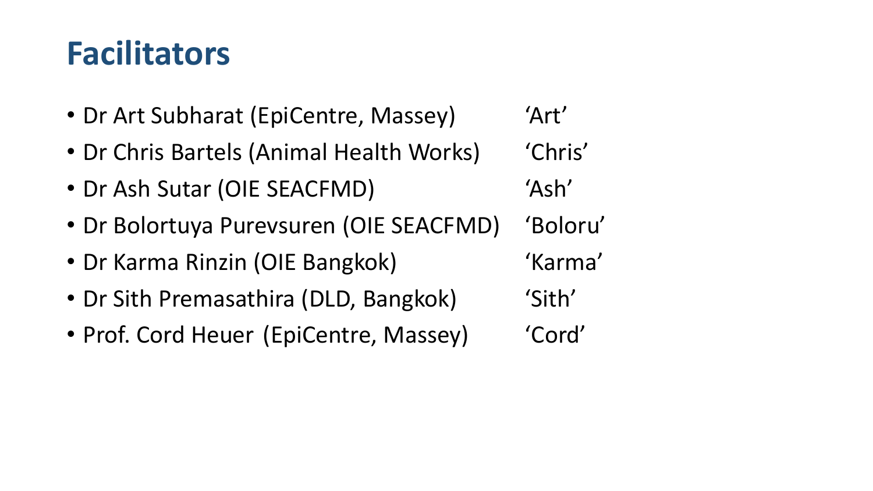### **Facilitators**

- Dr Art Subharat (EpiCentre, Massey) 'Art'
- Dr Chris Bartels (Animal Health Works) (Chris'
- Dr Ash Sutar (OIE SEACFMD) 'Ash'
- Dr Bolortuya Purevsuren (OIE SEACFMD) 'Boloru'
- Dr Karma Rinzin (OIE Bangkok) (Karma'
- Dr Sith Premasathira (DLD, Bangkok) 'Sith'
- Prof. Cord Heuer (EpiCentre, Massey) 'Cord'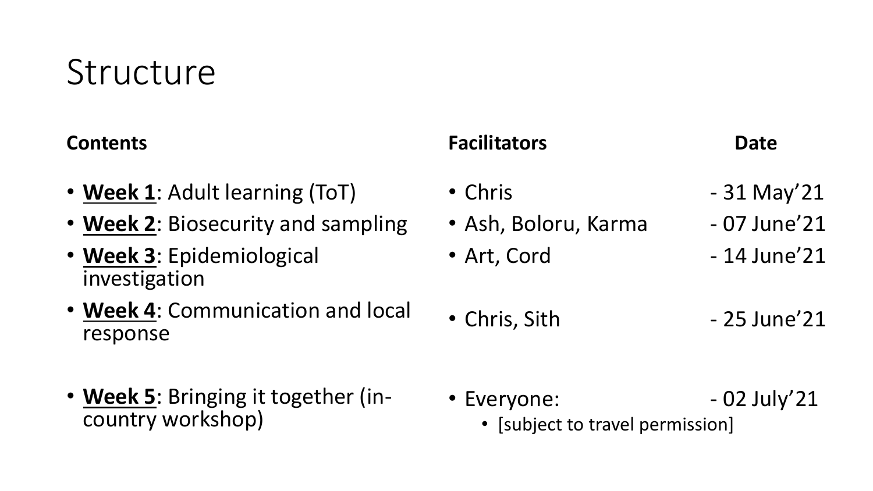## **Structure**

#### **Contents**

- **Week 1**: Adult learning (ToT)
- **Week 2**: Biosecurity and sampling
- **Week 3**: Epidemiological investigation
- **Week 4**: Communication and local response
- **Week 5**: Bringing it together (incountry workshop)

#### **Facilitators Date**

- 
- Chris  $-31$  May'21
- Ash, Boloru, Karma 07 June'21
- Art, Cord  $-14$  June'21
- Chris, Sith 25 June'21

• Everyone:  $-02$  July'21 • [subject to travel permission]